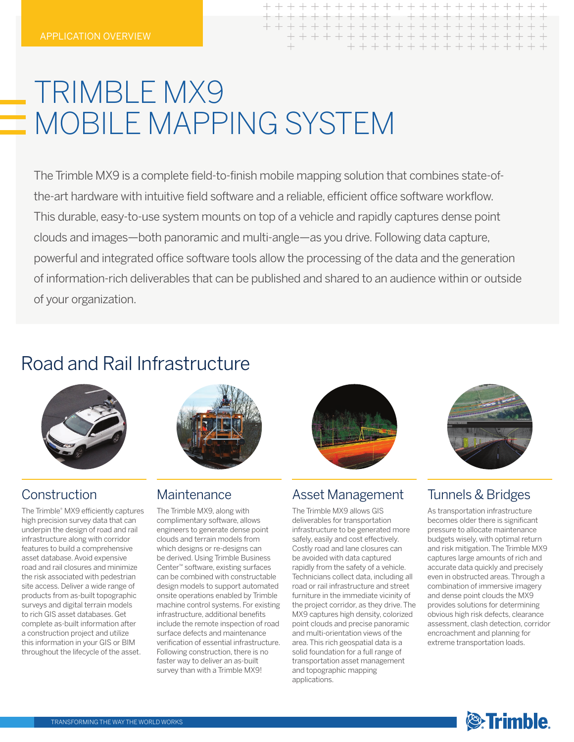| $\rightarrow$ |  |  |  |  |  |  |  | + + + + + + + + + + + + + + + + + |  |  |  |
|---------------|--|--|--|--|--|--|--|-----------------------------------|--|--|--|

# TRIMBLE MX9  $\equiv$  MOBILE MAPPING SYSTEM

The Trimble MX9 is a complete field-to-finish mobile mapping solution that combines state-ofthe-art hardware with intuitive field software and a reliable, efficient office software workflow. This durable, easy-to-use system mounts on top of a vehicle and rapidly captures dense point clouds and images—both panoramic and multi-angle—as you drive. Following data capture, powerful and integrated office software tools allow the processing of the data and the generation of information-rich deliverables that can be published and shared to an audience within or outside of your organization.

## Road and Rail Infrastructure



#### **Construction**

The Trimble® MX9 efficiently captures high precision survey data that can underpin the design of road and rail infrastructure along with corridor features to build a comprehensive asset database. Avoid expensive road and rail closures and minimize the risk associated with pedestrian site access. Deliver a wide range of products from as-built topographic surveys and digital terrain models to rich GIS asset databases. Get complete as-built information after a construction project and utilize this information in your GIS or BIM throughout the lifecycle of the asset.



#### **Maintenance**

The Trimble MX9, along with complimentary software, allows engineers to generate dense point clouds and terrain models from which designs or re-designs can be derived. Using Trimble Business Center™ software, existing surfaces can be combined with constructable design models to support automated onsite operations enabled by Trimble machine control systems. For existing infrastructure, additional benefits include the remote inspection of road surface defects and maintenance verification of essential infrastructure. Following construction, there is no faster way to deliver an as-built survey than with a Trimble MX9!



#### Asset Management

The Trimble MX9 allows GIS deliverables for transportation infrastructure to be generated more safely, easily and cost effectively. Costly road and lane closures can be avoided with data captured rapidly from the safety of a vehicle. Technicians collect data, including all road or rail infrastructure and street furniture in the immediate vicinity of the project corridor, as they drive. The MX9 captures high density, colorized point clouds and precise panoramic and multi-orientation views of the area. This rich geospatial data is a solid foundation for a full range of transportation asset management and topographic mapping applications.



#### Tunnels & Bridges

As transportation infrastructure becomes older there is significant pressure to allocate maintenance budgets wisely, with optimal return and risk mitigation. The Trimble MX9 captures large amounts of rich and accurate data quickly and precisely even in obstructed areas. Through a combination of immersive imagery and dense point clouds the MX9 provides solutions for determining obvious high risk defects, clearance assessment, clash detection, corridor encroachment and planning for extreme transportation loads.